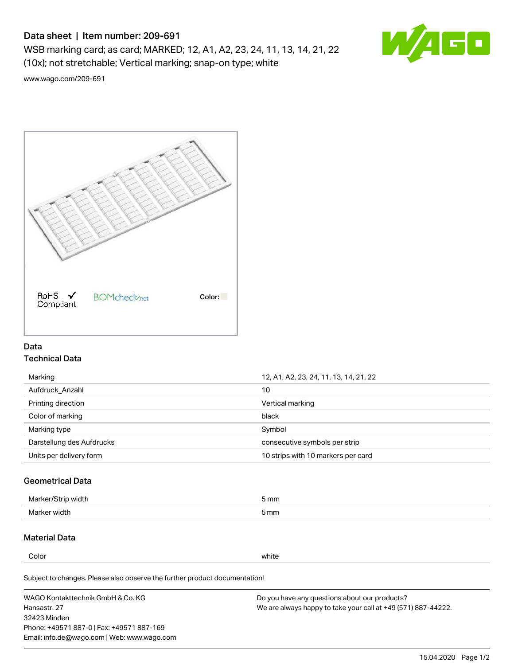## Data sheet | Item number: 209-691

WSB marking card; as card; MARKED; 12, A1, A2, 23, 24, 11, 13, 14, 21, 22 (10x); not stretchable; Vertical marking; snap-on type; white



[www.wago.com/209-691](http://www.wago.com/209-691)



### Data Technical Data

| Marking                   | 12, A1, A2, 23, 24, 11, 13, 14, 21, 22 |  |
|---------------------------|----------------------------------------|--|
| Aufdruck Anzahl           | 10                                     |  |
| Printing direction        | Vertical marking                       |  |
| Color of marking          | black                                  |  |
| Marking type              | Symbol                                 |  |
| Darstellung des Aufdrucks | consecutive symbols per strip          |  |
| Units per delivery form   | 10 strips with 10 markers per card     |  |

### Geometrical Data

| طلقاء ئ<br><b>Marker</b><br>widtr | ັກmm |
|-----------------------------------|------|
| Marker width                      | 5 mm |

### Material Data

Color white

Subject to changes. Please also observe the further product documentation!

WAGO Kontakttechnik GmbH & Co. KG Hansastr. 27 32423 Minden Phone: +49571 887-0 | Fax: +49571 887-169 Email: info.de@wago.com | Web: www.wago.com Do you have any questions about our products? We are always happy to take your call at +49 (571) 887-44222.